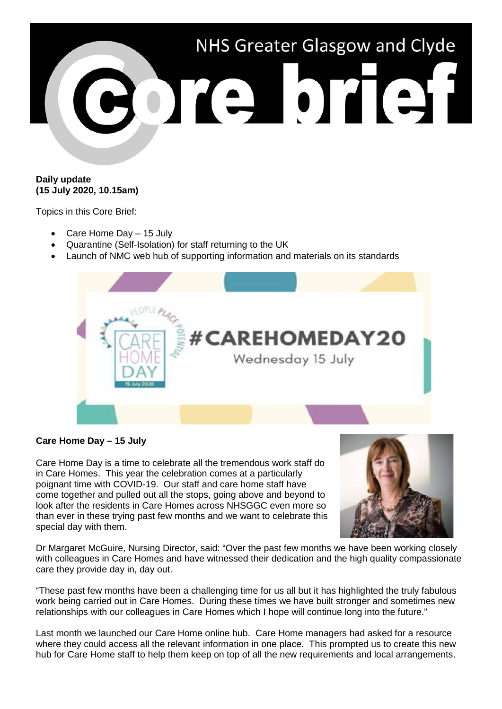

## **Daily update (15 July 2020, 10.15am)**

Topics in this Core Brief:

- Care Home Day 15 July
- Quarantine (Self-Isolation) for staff returning to the UK
- Launch of NMC web hub of supporting information and materials on its standards



## **Care Home Day – 15 July**

Care Home Day is a time to celebrate all the tremendous work staff do in Care Homes. This year the celebration comes at a particularly poignant time with COVID-19. Our staff and care home staff have come together and pulled out all the stops, going above and beyond to look after the residents in Care Homes across NHSGGC even more so than ever in these trying past few months and we want to celebrate this special day with them.



Dr Margaret McGuire, Nursing Director, said: "Over the past few months we have been working closely with colleagues in Care Homes and have witnessed their dedication and the high quality compassionate care they provide day in, day out.

"These past few months have been a challenging time for us all but it has highlighted the truly fabulous work being carried out in Care Homes. During these times we have built stronger and sometimes new relationships with our colleagues in Care Homes which I hope will continue long into the future."

Last month we launched our Care Home online hub. Care Home managers had asked for a resource where they could access all the relevant information in one place. This prompted us to create this new hub for Care Home staff to help them keep on top of all the new requirements and local arrangements.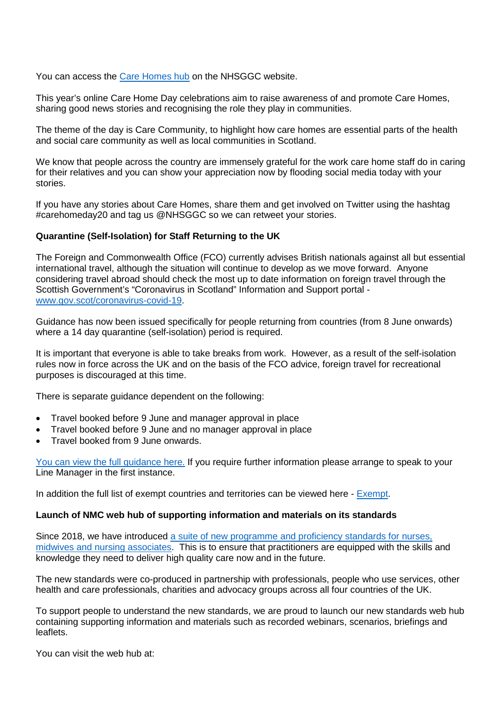You can access the [Care Homes hub](https://www.nhsggc.org.uk/your-health/health-issues/covid-19-coronavirus/for-care-homes/) on the NHSGGC website.

This year's online Care Home Day celebrations aim to raise awareness of and promote Care Homes, sharing good news stories and recognising the role they play in communities.

The theme of the day is Care Community, to highlight how care homes are essential parts of the health and social care community as well as local communities in Scotland.

We know that people across the country are immensely grateful for the work care home staff do in caring for their relatives and you can show your appreciation now by flooding social media today with your stories.

If you have any stories about Care Homes, share them and get involved on Twitter using the hashtag #carehomeday20 and tag us @NHSGGC so we can retweet your stories.

## **Quarantine (Self-Isolation) for Staff Returning to the UK**

The Foreign and Commonwealth Office (FCO) currently advises British nationals against all but essential international travel, although the situation will continue to develop as we move forward. Anyone considering travel abroad should check the most up to date information on foreign travel through the Scottish Government's "Coronavirus in Scotland" Information and Support portal [www.gov.scot/coronavirus-covid-19.](http://www.gov.scot/coronavirus-covid-19)

Guidance has now been issued specifically for people returning from countries (from 8 June onwards) where a 14 day quarantine (self-isolation) period is required.

It is important that everyone is able to take breaks from work. However, as a result of the self-isolation rules now in force across the UK and on the basis of the FCO advice, foreign travel for recreational purposes is discouraged at this time.

There is separate guidance dependent on the following:

- Travel booked before 9 June and manager approval in place
- Travel booked before 9 June and no manager approval in place
- Travel booked from 9 June onwards.

[You can view the full guidance here.](https://www.nhsggc.org.uk/media/261826/covid19_staff_quarantine_staff_returning_to_uk.pdf) If you require further information please arrange to speak to your Line Manager in the first instance.

In addition the full list of exempt countries and territories can be viewed here - [Exempt.](https://www.gov.scot/publications/coronavirus-covid-19-public-health-checks-at-borders/pages/exemptions/)

## **Launch of NMC web hub of supporting information and materials on its standards**

Since 2018, we have introduced [a suite of new programme and proficiency standards for nurses,](https://www.nmc.org.uk/standards/)  [midwives and nursing associates.](https://www.nmc.org.uk/standards/) This is to ensure that practitioners are equipped with the skills and knowledge they need to deliver high quality care now and in the future.

The new standards were co-produced in partnership with professionals, people who use services, other health and care professionals, charities and advocacy groups across all four countries of the UK.

To support people to understand the new standards, we are proud to launch our new standards web hub containing supporting information and materials such as recorded webinars, scenarios, briefings and leaflets.

You can visit the web hub at: